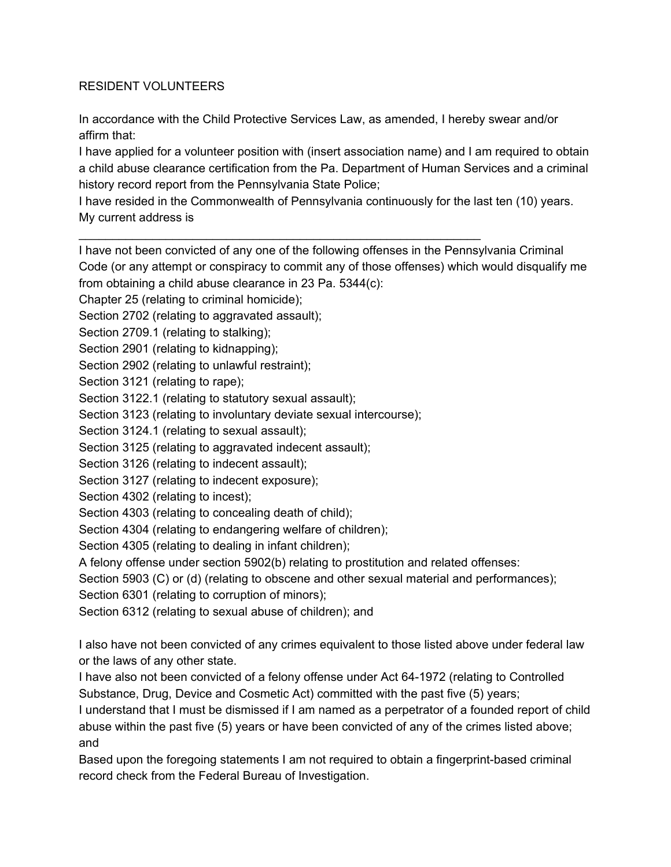## RESIDENT VOLUNTEERS

In accordance with the Child Protective Services Law, as amended, I hereby swear and/or affirm that:

I have applied for a volunteer position with (insert association name) and I am required to obtain a child abuse clearance certification from the Pa. Department of Human Services and a criminal history record report from the Pennsylvania State Police;

I have resided in the Commonwealth of Pennsylvania continuously for the last ten (10) years. My current address is

\_\_\_\_\_\_\_\_\_\_\_\_\_\_\_\_\_\_\_\_\_\_\_\_\_\_\_\_\_\_\_\_\_\_\_\_\_\_\_\_\_\_\_\_\_\_\_\_\_\_\_\_\_\_\_\_\_\_\_\_

I have not been convicted of any one of the following offenses in the Pennsylvania Criminal Code (or any attempt or conspiracy to commit any of those offenses) which would disqualify me from obtaining a child abuse clearance in 23 Pa. 5344(c):

Chapter 25 (relating to criminal homicide);

Section 2702 (relating to aggravated assault);

Section 2709.1 (relating to stalking);

Section 2901 (relating to kidnapping);

Section 2902 (relating to unlawful restraint);

Section 3121 (relating to rape);

Section 3122.1 (relating to statutory sexual assault);

Section 3123 (relating to involuntary deviate sexual intercourse);

Section 3124.1 (relating to sexual assault);

Section 3125 (relating to aggravated indecent assault);

Section 3126 (relating to indecent assault);

Section 3127 (relating to indecent exposure);

Section 4302 (relating to incest);

Section 4303 (relating to concealing death of child);

Section 4304 (relating to endangering welfare of children);

Section 4305 (relating to dealing in infant children);

A felony offense under section 5902(b) relating to prostitution and related offenses:

Section 5903 (C) or (d) (relating to obscene and other sexual material and performances);

Section 6301 (relating to corruption of minors);

Section 6312 (relating to sexual abuse of children); and

I also have not been convicted of any crimes equivalent to those listed above under federal law or the laws of any other state.

I have also not been convicted of a felony offense under Act 64-1972 (relating to Controlled Substance, Drug, Device and Cosmetic Act) committed with the past five (5) years;

I understand that I must be dismissed if I am named as a perpetrator of a founded report of child abuse within the past five (5) years or have been convicted of any of the crimes listed above; and

Based upon the foregoing statements I am not required to obtain a fingerprint-based criminal record check from the Federal Bureau of Investigation.